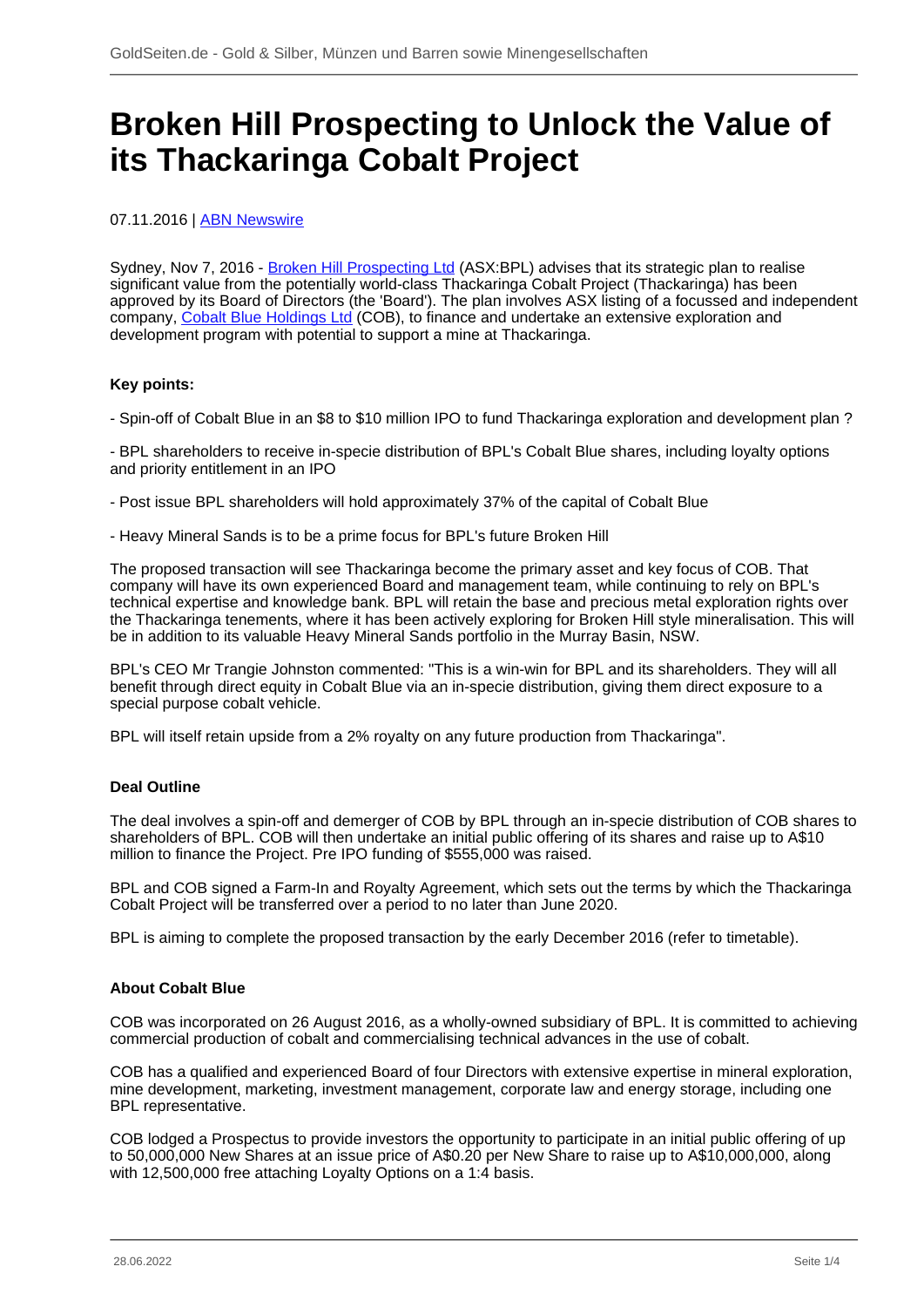# **Broken Hill Prospecting to Unlock the Value of its Thackaringa Cobalt Project**

# 07.11.2016 | [ABN Newswire](/profil/222--ABN-Newswire)

Sydney, Nov 7, 2016 - [Broken Hill Prospecting Ltd](/minen/3312--American-Rare-Earths-Ltd) (ASX:BPL) advises that its strategic plan to realise significant value from the potentially world-class Thackaringa Cobalt Project (Thackaringa) has been approved by its Board of Directors (the 'Board'). The plan involves ASX listing of a focussed and independent company, [Cobalt Blue Holdings Ltd](/minen/3343--Cobalt-Blue-Holdings-Ltd) (COB), to finance and undertake an extensive exploration and development program with potential to support a mine at Thackaringa.

# **Key points:**

- Spin-off of Cobalt Blue in an \$8 to \$10 million IPO to fund Thackaringa exploration and development plan ?

- BPL shareholders to receive in-specie distribution of BPL's Cobalt Blue shares, including loyalty options and priority entitlement in an IPO

- Post issue BPL shareholders will hold approximately 37% of the capital of Cobalt Blue
- Heavy Mineral Sands is to be a prime focus for BPL's future Broken Hill

The proposed transaction will see Thackaringa become the primary asset and key focus of COB. That company will have its own experienced Board and management team, while continuing to rely on BPL's technical expertise and knowledge bank. BPL will retain the base and precious metal exploration rights over the Thackaringa tenements, where it has been actively exploring for Broken Hill style mineralisation. This will be in addition to its valuable Heavy Mineral Sands portfolio in the Murray Basin, NSW.

BPL's CEO Mr Trangie Johnston commented: "This is a win-win for BPL and its shareholders. They will all benefit through direct equity in Cobalt Blue via an in-specie distribution, giving them direct exposure to a special purpose cobalt vehicle.

BPL will itself retain upside from a 2% royalty on any future production from Thackaringa".

# **Deal Outline**

The deal involves a spin-off and demerger of COB by BPL through an in-specie distribution of COB shares to shareholders of BPL. COB will then undertake an initial public offering of its shares and raise up to A\$10 million to finance the Project. Pre IPO funding of \$555,000 was raised.

BPL and COB signed a Farm-In and Royalty Agreement, which sets out the terms by which the Thackaringa Cobalt Project will be transferred over a period to no later than June 2020.

BPL is aiming to complete the proposed transaction by the early December 2016 (refer to timetable).

# **About Cobalt Blue**

COB was incorporated on 26 August 2016, as a wholly-owned subsidiary of BPL. It is committed to achieving commercial production of cobalt and commercialising technical advances in the use of cobalt.

COB has a qualified and experienced Board of four Directors with extensive expertise in mineral exploration, mine development, marketing, investment management, corporate law and energy storage, including one BPL representative.

COB lodged a Prospectus to provide investors the opportunity to participate in an initial public offering of up to 50,000,000 New Shares at an issue price of A\$0.20 per New Share to raise up to A\$10,000,000, along with 12,500,000 free attaching Loyalty Options on a 1:4 basis.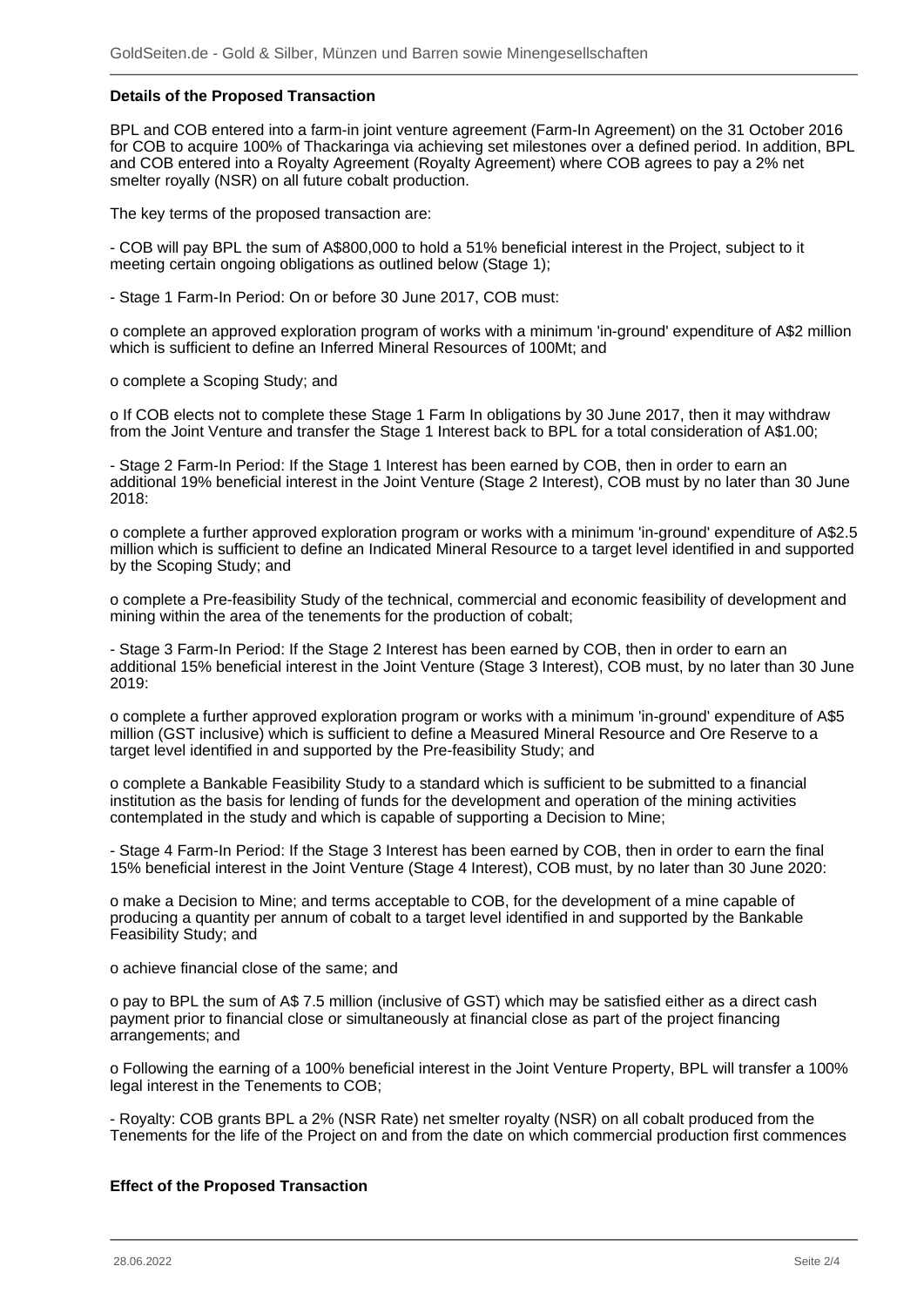# **Details of the Proposed Transaction**

BPL and COB entered into a farm-in joint venture agreement (Farm-In Agreement) on the 31 October 2016 for COB to acquire 100% of Thackaringa via achieving set milestones over a defined period. In addition, BPL and COB entered into a Royalty Agreement (Royalty Agreement) where COB agrees to pay a 2% net smelter royally (NSR) on all future cobalt production.

The key terms of the proposed transaction are:

- COB will pay BPL the sum of A\$800,000 to hold a 51% beneficial interest in the Project, subject to it meeting certain ongoing obligations as outlined below (Stage 1);

- Stage 1 Farm-In Period: On or before 30 June 2017, COB must:

o complete an approved exploration program of works with a minimum 'in-ground' expenditure of A\$2 million which is sufficient to define an Inferred Mineral Resources of 100Mt; and

o complete a Scoping Study; and

o If COB elects not to complete these Stage 1 Farm In obligations by 30 June 2017, then it may withdraw from the Joint Venture and transfer the Stage 1 Interest back to BPL for a total consideration of A\$1.00;

- Stage 2 Farm-In Period: If the Stage 1 Interest has been earned by COB, then in order to earn an additional 19% beneficial interest in the Joint Venture (Stage 2 Interest), COB must by no later than 30 June 2018:

o complete a further approved exploration program or works with a minimum 'in-ground' expenditure of A\$2.5 million which is sufficient to define an Indicated Mineral Resource to a target level identified in and supported by the Scoping Study; and

o complete a Pre-feasibility Study of the technical, commercial and economic feasibility of development and mining within the area of the tenements for the production of cobalt;

- Stage 3 Farm-In Period: If the Stage 2 Interest has been earned by COB, then in order to earn an additional 15% beneficial interest in the Joint Venture (Stage 3 Interest), COB must, by no later than 30 June 2019:

o complete a further approved exploration program or works with a minimum 'in-ground' expenditure of A\$5 million (GST inclusive) which is sufficient to define a Measured Mineral Resource and Ore Reserve to a target level identified in and supported by the Pre-feasibility Study; and

o complete a Bankable Feasibility Study to a standard which is sufficient to be submitted to a financial institution as the basis for lending of funds for the development and operation of the mining activities contemplated in the study and which is capable of supporting a Decision to Mine;

- Stage 4 Farm-In Period: If the Stage 3 Interest has been earned by COB, then in order to earn the final 15% beneficial interest in the Joint Venture (Stage 4 Interest), COB must, by no later than 30 June 2020:

o make a Decision to Mine; and terms acceptable to COB, for the development of a mine capable of producing a quantity per annum of cobalt to a target level identified in and supported by the Bankable Feasibility Study; and

o achieve financial close of the same; and

o pay to BPL the sum of A\$ 7.5 million (inclusive of GST) which may be satisfied either as a direct cash payment prior to financial close or simultaneously at financial close as part of the project financing arrangements; and

o Following the earning of a 100% beneficial interest in the Joint Venture Property, BPL will transfer a 100% legal interest in the Tenements to COB;

- Royalty: COB grants BPL a 2% (NSR Rate) net smelter royalty (NSR) on all cobalt produced from the Tenements for the life of the Project on and from the date on which commercial production first commences

# **Effect of the Proposed Transaction**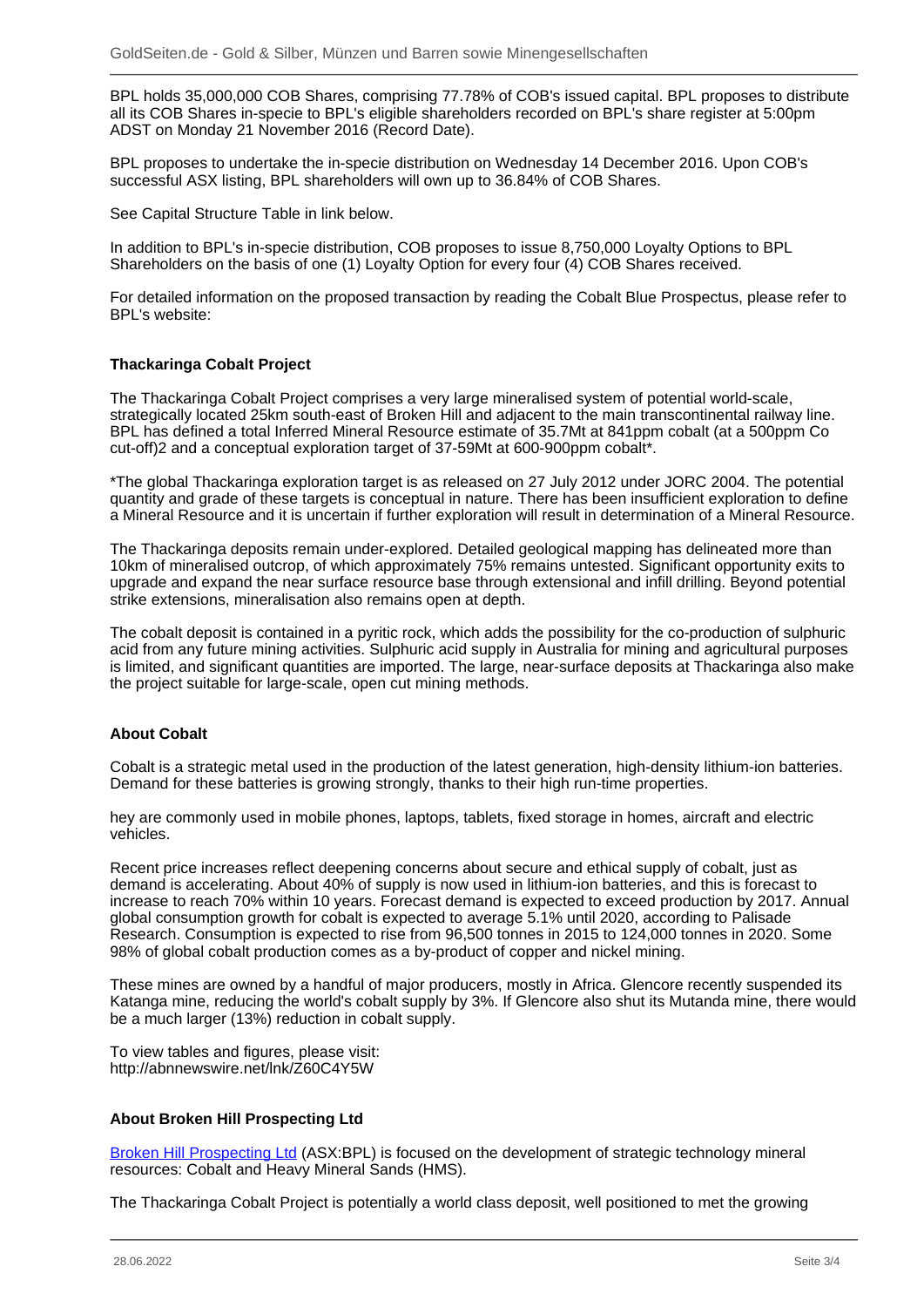BPL holds 35,000,000 COB Shares, comprising 77.78% of COB's issued capital. BPL proposes to distribute all its COB Shares in-specie to BPL's eligible shareholders recorded on BPL's share register at 5:00pm ADST on Monday 21 November 2016 (Record Date).

BPL proposes to undertake the in-specie distribution on Wednesday 14 December 2016. Upon COB's successful ASX listing, BPL shareholders will own up to 36.84% of COB Shares.

See Capital Structure Table in link below.

In addition to BPL's in-specie distribution, COB proposes to issue 8,750,000 Loyalty Options to BPL Shareholders on the basis of one (1) Loyalty Option for every four (4) COB Shares received.

For detailed information on the proposed transaction by reading the Cobalt Blue Prospectus, please refer to BPL's website:

# **Thackaringa Cobalt Project**

The Thackaringa Cobalt Project comprises a very large mineralised system of potential world-scale, strategically located 25km south-east of Broken Hill and adjacent to the main transcontinental railway line. BPL has defined a total Inferred Mineral Resource estimate of 35.7Mt at 841ppm cobalt (at a 500ppm Co cut-off)2 and a conceptual exploration target of 37-59Mt at 600-900ppm cobalt\*.

\*The global Thackaringa exploration target is as released on 27 July 2012 under JORC 2004. The potential quantity and grade of these targets is conceptual in nature. There has been insufficient exploration to define a Mineral Resource and it is uncertain if further exploration will result in determination of a Mineral Resource.

The Thackaringa deposits remain under-explored. Detailed geological mapping has delineated more than 10km of mineralised outcrop, of which approximately 75% remains untested. Significant opportunity exits to upgrade and expand the near surface resource base through extensional and infill drilling. Beyond potential strike extensions, mineralisation also remains open at depth.

The cobalt deposit is contained in a pyritic rock, which adds the possibility for the co-production of sulphuric acid from any future mining activities. Sulphuric acid supply in Australia for mining and agricultural purposes is limited, and significant quantities are imported. The large, near-surface deposits at Thackaringa also make the project suitable for large-scale, open cut mining methods.

#### **About Cobalt**

Cobalt is a strategic metal used in the production of the latest generation, high-density lithium-ion batteries. Demand for these batteries is growing strongly, thanks to their high run-time properties.

hey are commonly used in mobile phones, laptops, tablets, fixed storage in homes, aircraft and electric vehicles.

Recent price increases reflect deepening concerns about secure and ethical supply of cobalt, just as demand is accelerating. About 40% of supply is now used in lithium-ion batteries, and this is forecast to increase to reach 70% within 10 years. Forecast demand is expected to exceed production by 2017. Annual global consumption growth for cobalt is expected to average 5.1% until 2020, according to Palisade Research. Consumption is expected to rise from 96,500 tonnes in 2015 to 124,000 tonnes in 2020. Some 98% of global cobalt production comes as a by-product of copper and nickel mining.

These mines are owned by a handful of major producers, mostly in Africa. Glencore recently suspended its Katanga mine, reducing the world's cobalt supply by 3%. If Glencore also shut its Mutanda mine, there would be a much larger (13%) reduction in cobalt supply.

To view tables and figures, please visit: http://abnnewswire.net/lnk/Z60C4Y5W

#### **About Broken Hill Prospecting Ltd**

[Broken Hill Prospecting Ltd](/minen/3312--American-Rare-Earths-Ltd) (ASX:BPL) is focused on the development of strategic technology mineral resources: Cobalt and Heavy Mineral Sands (HMS).

The Thackaringa Cobalt Project is potentially a world class deposit, well positioned to met the growing